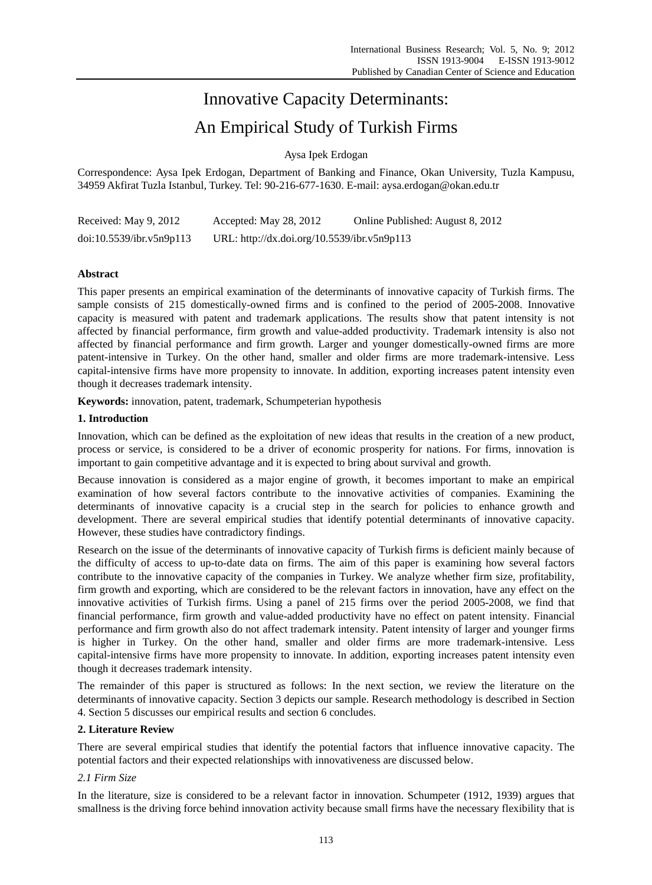# Innovative Capacity Determinants: An Empirical Study of Turkish Firms

Aysa Ipek Erdogan

Correspondence: Aysa Ipek Erdogan, Department of Banking and Finance, Okan University, Tuzla Kampusu, 34959 Akfirat Tuzla Istanbul, Turkey. Tel: 90-216-677-1630. E-mail: aysa.erdogan@okan.edu.tr

| Received: May 9, 2012    | Accepted: May 28, 2012                      | Online Published: August 8, 2012 |  |
|--------------------------|---------------------------------------------|----------------------------------|--|
| doi:10.5539/ibr.v5n9p113 | URL: http://dx.doi.org/10.5539/ibr.v5n9p113 |                                  |  |

# **Abstract**

This paper presents an empirical examination of the determinants of innovative capacity of Turkish firms. The sample consists of 215 domestically-owned firms and is confined to the period of 2005-2008. Innovative capacity is measured with patent and trademark applications. The results show that patent intensity is not affected by financial performance, firm growth and value-added productivity. Trademark intensity is also not affected by financial performance and firm growth. Larger and younger domestically-owned firms are more patent-intensive in Turkey. On the other hand, smaller and older firms are more trademark-intensive. Less capital-intensive firms have more propensity to innovate. In addition, exporting increases patent intensity even though it decreases trademark intensity.

**Keywords:** innovation, patent, trademark, Schumpeterian hypothesis

## **1. Introduction**

Innovation, which can be defined as the exploitation of new ideas that results in the creation of a new product, process or service, is considered to be a driver of economic prosperity for nations. For firms, innovation is important to gain competitive advantage and it is expected to bring about survival and growth.

Because innovation is considered as a major engine of growth, it becomes important to make an empirical examination of how several factors contribute to the innovative activities of companies. Examining the determinants of innovative capacity is a crucial step in the search for policies to enhance growth and development. There are several empirical studies that identify potential determinants of innovative capacity. However, these studies have contradictory findings.

Research on the issue of the determinants of innovative capacity of Turkish firms is deficient mainly because of the difficulty of access to up-to-date data on firms. The aim of this paper is examining how several factors contribute to the innovative capacity of the companies in Turkey. We analyze whether firm size, profitability, firm growth and exporting, which are considered to be the relevant factors in innovation, have any effect on the innovative activities of Turkish firms. Using a panel of 215 firms over the period 2005-2008, we find that financial performance, firm growth and value-added productivity have no effect on patent intensity. Financial performance and firm growth also do not affect trademark intensity. Patent intensity of larger and younger firms is higher in Turkey. On the other hand, smaller and older firms are more trademark-intensive. Less capital-intensive firms have more propensity to innovate. In addition, exporting increases patent intensity even though it decreases trademark intensity.

The remainder of this paper is structured as follows: In the next section, we review the literature on the determinants of innovative capacity. Section 3 depicts our sample. Research methodology is described in Section 4. Section 5 discusses our empirical results and section 6 concludes.

## **2. Literature Review**

There are several empirical studies that identify the potential factors that influence innovative capacity. The potential factors and their expected relationships with innovativeness are discussed below.

## *2.1 Firm Size*

In the literature, size is considered to be a relevant factor in innovation. Schumpeter (1912, 1939) argues that smallness is the driving force behind innovation activity because small firms have the necessary flexibility that is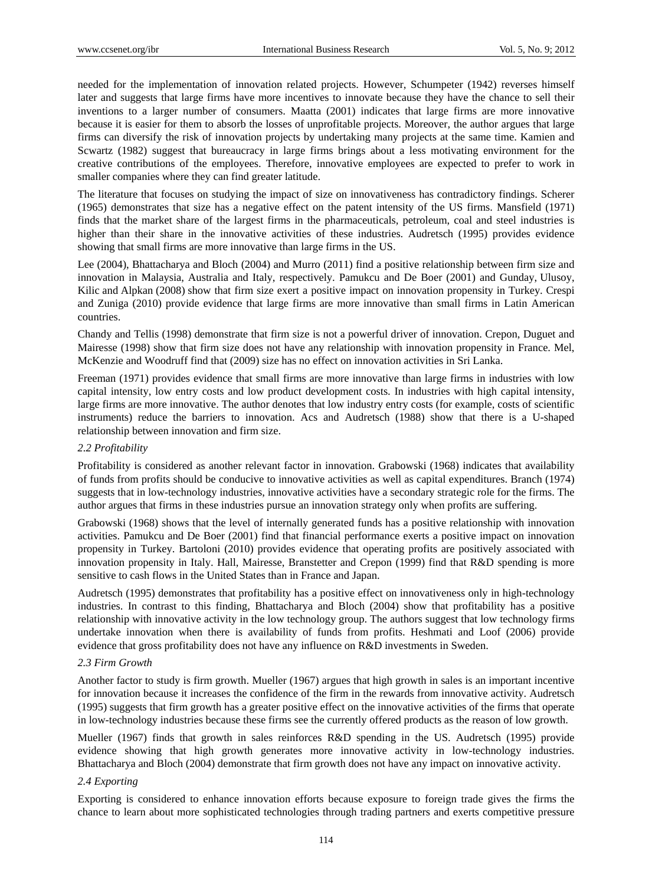needed for the implementation of innovation related projects. However, Schumpeter (1942) reverses himself later and suggests that large firms have more incentives to innovate because they have the chance to sell their inventions to a larger number of consumers. Maatta (2001) indicates that large firms are more innovative because it is easier for them to absorb the losses of unprofitable projects. Moreover, the author argues that large firms can diversify the risk of innovation projects by undertaking many projects at the same time. Kamien and Scwartz (1982) suggest that bureaucracy in large firms brings about a less motivating environment for the creative contributions of the employees. Therefore, innovative employees are expected to prefer to work in smaller companies where they can find greater latitude.

The literature that focuses on studying the impact of size on innovativeness has contradictory findings. Scherer (1965) demonstrates that size has a negative effect on the patent intensity of the US firms. Mansfield (1971) finds that the market share of the largest firms in the pharmaceuticals, petroleum, coal and steel industries is higher than their share in the innovative activities of these industries. Audretsch (1995) provides evidence showing that small firms are more innovative than large firms in the US.

Lee (2004), Bhattacharya and Bloch (2004) and Murro (2011) find a positive relationship between firm size and innovation in Malaysia, Australia and Italy, respectively. Pamukcu and De Boer (2001) and Gunday, Ulusoy, Kilic and Alpkan (2008) show that firm size exert a positive impact on innovation propensity in Turkey. Crespi and Zuniga (2010) provide evidence that large firms are more innovative than small firms in Latin American countries.

Chandy and Tellis (1998) demonstrate that firm size is not a powerful driver of innovation. Crepon, Duguet and Mairesse (1998) show that firm size does not have any relationship with innovation propensity in France. Mel, McKenzie and Woodruff find that (2009) size has no effect on innovation activities in Sri Lanka.

Freeman (1971) provides evidence that small firms are more innovative than large firms in industries with low capital intensity, low entry costs and low product development costs. In industries with high capital intensity, large firms are more innovative. The author denotes that low industry entry costs (for example, costs of scientific instruments) reduce the barriers to innovation. Acs and Audretsch (1988) show that there is a U-shaped relationship between innovation and firm size.

### *2.2 Profitability*

Profitability is considered as another relevant factor in innovation. Grabowski (1968) indicates that availability of funds from profits should be conducive to innovative activities as well as capital expenditures. Branch (1974) suggests that in low-technology industries, innovative activities have a secondary strategic role for the firms. The author argues that firms in these industries pursue an innovation strategy only when profits are suffering.

Grabowski (1968) shows that the level of internally generated funds has a positive relationship with innovation activities. Pamukcu and De Boer (2001) find that financial performance exerts a positive impact on innovation propensity in Turkey. Bartoloni (2010) provides evidence that operating profits are positively associated with innovation propensity in Italy. Hall, Mairesse, Branstetter and Crepon (1999) find that R&D spending is more sensitive to cash flows in the United States than in France and Japan.

Audretsch (1995) demonstrates that profitability has a positive effect on innovativeness only in high-technology industries. In contrast to this finding, Bhattacharya and Bloch (2004) show that profitability has a positive relationship with innovative activity in the low technology group. The authors suggest that low technology firms undertake innovation when there is availability of funds from profits. Heshmati and Loof (2006) provide evidence that gross profitability does not have any influence on R&D investments in Sweden.

#### *2.3 Firm Growth*

Another factor to study is firm growth. Mueller (1967) argues that high growth in sales is an important incentive for innovation because it increases the confidence of the firm in the rewards from innovative activity. Audretsch (1995) suggests that firm growth has a greater positive effect on the innovative activities of the firms that operate in low-technology industries because these firms see the currently offered products as the reason of low growth.

Mueller (1967) finds that growth in sales reinforces R&D spending in the US. Audretsch (1995) provide evidence showing that high growth generates more innovative activity in low-technology industries. Bhattacharya and Bloch (2004) demonstrate that firm growth does not have any impact on innovative activity.

#### *2.4 Exporting*

Exporting is considered to enhance innovation efforts because exposure to foreign trade gives the firms the chance to learn about more sophisticated technologies through trading partners and exerts competitive pressure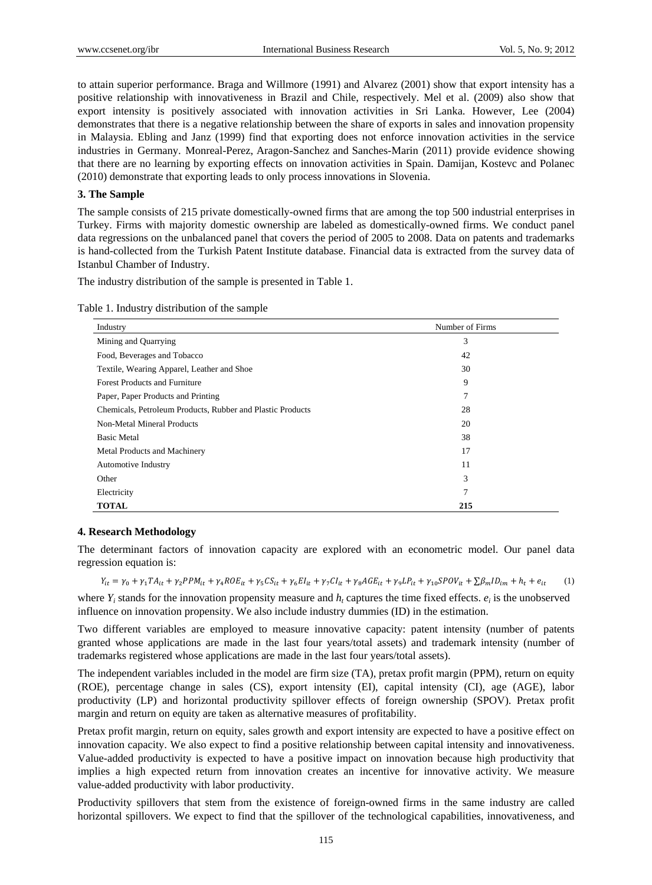to attain superior performance. Braga and Willmore (1991) and Alvarez (2001) show that export intensity has a positive relationship with innovativeness in Brazil and Chile, respectively. Mel et al. (2009) also show that export intensity is positively associated with innovation activities in Sri Lanka. However, Lee (2004) demonstrates that there is a negative relationship between the share of exports in sales and innovation propensity in Malaysia. Ebling and Janz (1999) find that exporting does not enforce innovation activities in the service industries in Germany. Monreal-Perez, Aragon-Sanchez and Sanches-Marin (2011) provide evidence showing that there are no learning by exporting effects on innovation activities in Spain. Damijan, Kostevc and Polanec (2010) demonstrate that exporting leads to only process innovations in Slovenia.

#### **3. The Sample**

The sample consists of 215 private domestically-owned firms that are among the top 500 industrial enterprises in Turkey. Firms with majority domestic ownership are labeled as domestically-owned firms. We conduct panel data regressions on the unbalanced panel that covers the period of 2005 to 2008. Data on patents and trademarks is hand-collected from the Turkish Patent Institute database. Financial data is extracted from the survey data of Istanbul Chamber of Industry.

The industry distribution of the sample is presented in Table 1.

| Industry                                                   | Number of Firms |
|------------------------------------------------------------|-----------------|
| Mining and Quarrying                                       | 3               |
| Food, Beverages and Tobacco                                | 42              |
| Textile, Wearing Apparel, Leather and Shoe                 | 30              |
| <b>Forest Products and Furniture</b>                       | 9               |
| Paper, Paper Products and Printing                         | 7               |
| Chemicals, Petroleum Products, Rubber and Plastic Products | 28              |
| Non-Metal Mineral Products                                 | 20              |
| <b>Basic Metal</b>                                         | 38              |
| Metal Products and Machinery                               | 17              |
| Automotive Industry                                        | 11              |
| Other                                                      | 3               |
| Electricity                                                | 7               |
| <b>TOTAL</b>                                               | 215             |

| Table 1. Industry distribution of the sample |  |  |  |  |  |  |  |
|----------------------------------------------|--|--|--|--|--|--|--|
|----------------------------------------------|--|--|--|--|--|--|--|

### **4. Research Methodology**

The determinant factors of innovation capacity are explored with an econometric model. Our panel data regression equation is:

 $Y_{it} = \gamma_0 + \gamma_1 T A_{it} + \gamma_2 P P M_{it} + \gamma_4 R O E_{it} + \gamma_5 C S_{it} + \gamma_6 E I_{it} + \gamma_7 C I_{it} + \gamma_8 A G E_{it} + \gamma_9 L P_{it} + \gamma_{10} S P O V_{it} + \sum \beta_m I D_{im} + h_t + e_{it}$  (1)

where  $Y_i$  stands for the innovation propensity measure and  $h_i$  captures the time fixed effects.  $e_i$  is the unobserved influence on innovation propensity. We also include industry dummies (ID) in the estimation.

Two different variables are employed to measure innovative capacity: patent intensity (number of patents granted whose applications are made in the last four years/total assets) and trademark intensity (number of trademarks registered whose applications are made in the last four years/total assets).

The independent variables included in the model are firm size (TA), pretax profit margin (PPM), return on equity (ROE), percentage change in sales (CS), export intensity (EI), capital intensity (CI), age (AGE), labor productivity (LP) and horizontal productivity spillover effects of foreign ownership (SPOV). Pretax profit margin and return on equity are taken as alternative measures of profitability.

Pretax profit margin, return on equity, sales growth and export intensity are expected to have a positive effect on innovation capacity. We also expect to find a positive relationship between capital intensity and innovativeness. Value-added productivity is expected to have a positive impact on innovation because high productivity that implies a high expected return from innovation creates an incentive for innovative activity. We measure value-added productivity with labor productivity.

Productivity spillovers that stem from the existence of foreign-owned firms in the same industry are called horizontal spillovers. We expect to find that the spillover of the technological capabilities, innovativeness, and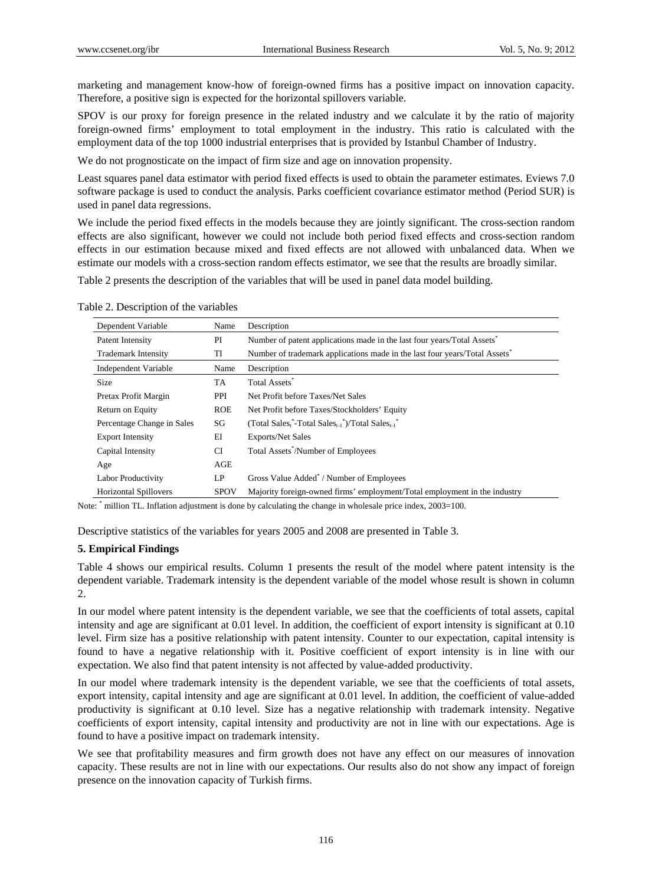marketing and management know-how of foreign-owned firms has a positive impact on innovation capacity. Therefore, a positive sign is expected for the horizontal spillovers variable.

SPOV is our proxy for foreign presence in the related industry and we calculate it by the ratio of majority foreign-owned firms' employment to total employment in the industry. This ratio is calculated with the employment data of the top 1000 industrial enterprises that is provided by Istanbul Chamber of Industry.

We do not prognosticate on the impact of firm size and age on innovation propensity.

Least squares panel data estimator with period fixed effects is used to obtain the parameter estimates. Eviews 7.0 software package is used to conduct the analysis. Parks coefficient covariance estimator method (Period SUR) is used in panel data regressions.

We include the period fixed effects in the models because they are jointly significant. The cross-section random effects are also significant, however we could not include both period fixed effects and cross-section random effects in our estimation because mixed and fixed effects are not allowed with unbalanced data. When we estimate our models with a cross-section random effects estimator, we see that the results are broadly similar.

Table 2 presents the description of the variables that will be used in panel data model building.

Table 2. Description of the variables

| Dependent Variable           | Name        | Description                                                                            |
|------------------------------|-------------|----------------------------------------------------------------------------------------|
| Patent Intensity             | PI          | Number of patent applications made in the last four years/Total Assets <sup>3</sup>    |
| <b>Trademark Intensity</b>   | TI          | Number of trademark applications made in the last four years/Total Assets <sup>*</sup> |
| Independent Variable         | Name        | Description                                                                            |
| <b>Size</b>                  | TA          | Total Assets <sup>*</sup>                                                              |
| Pretax Profit Margin         | <b>PPI</b>  | Net Profit before Taxes/Net Sales                                                      |
| Return on Equity             | <b>ROE</b>  | Net Profit before Taxes/Stockholders' Equity                                           |
| Percentage Change in Sales   | SG          | (Total Sales, $\left[$ -Total Sales $_{t-1}$ )/Total Sales $_{t-1}$                    |
| <b>Export Intensity</b>      | EI          | <b>Exports/Net Sales</b>                                                               |
| Capital Intensity            | <b>CI</b>   | Total Assets <sup>*</sup> /Number of Employees                                         |
| Age                          | AGE         |                                                                                        |
| <b>Labor Productivity</b>    | LP          | Gross Value Added <sup>*</sup> / Number of Employees                                   |
| <b>Horizontal Spillovers</b> | <b>SPOV</b> | Majority foreign-owned firms' employment/Total employment in the industry              |

Note:  $*$  million TL. Inflation adjustment is done by calculating the change in wholesale price index, 2003=100.

Descriptive statistics of the variables for years 2005 and 2008 are presented in Table 3.

#### **5. Empirical Findings**

Table 4 shows our empirical results. Column 1 presents the result of the model where patent intensity is the dependent variable. Trademark intensity is the dependent variable of the model whose result is shown in column 2.

In our model where patent intensity is the dependent variable, we see that the coefficients of total assets, capital intensity and age are significant at 0.01 level. In addition, the coefficient of export intensity is significant at 0.10 level. Firm size has a positive relationship with patent intensity. Counter to our expectation, capital intensity is found to have a negative relationship with it. Positive coefficient of export intensity is in line with our expectation. We also find that patent intensity is not affected by value-added productivity.

In our model where trademark intensity is the dependent variable, we see that the coefficients of total assets, export intensity, capital intensity and age are significant at 0.01 level. In addition, the coefficient of value-added productivity is significant at 0.10 level. Size has a negative relationship with trademark intensity. Negative coefficients of export intensity, capital intensity and productivity are not in line with our expectations. Age is found to have a positive impact on trademark intensity.

We see that profitability measures and firm growth does not have any effect on our measures of innovation capacity. These results are not in line with our expectations. Our results also do not show any impact of foreign presence on the innovation capacity of Turkish firms.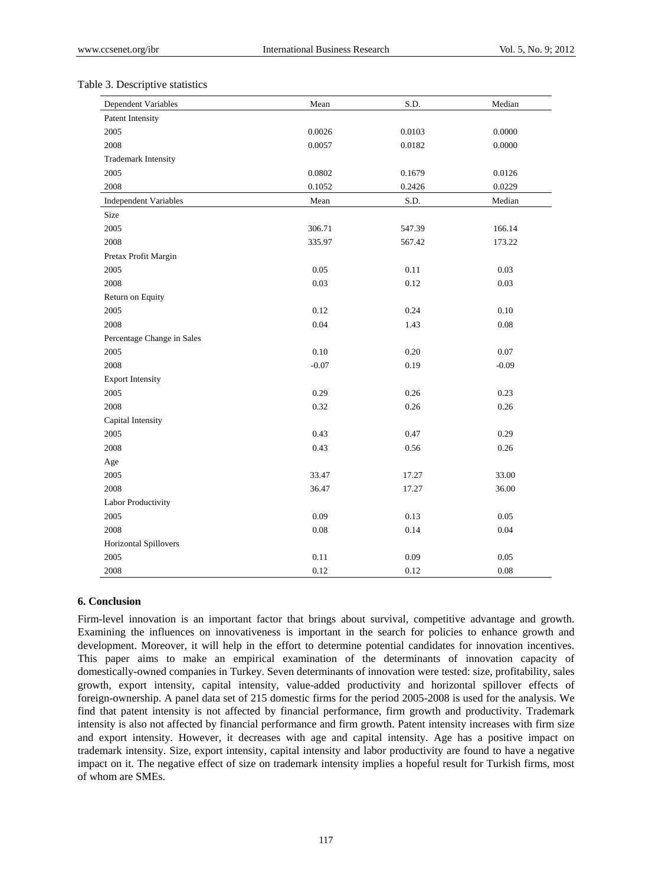### Table 3. Descriptive statistics

| Dependent Variables          | Mean     | S.D.   | Median   |
|------------------------------|----------|--------|----------|
| Patent Intensity             |          |        |          |
| 2005                         | 0.0026   | 0.0103 | 0.0000   |
| 2008                         | 0.0057   | 0.0182 | 0.0000   |
| <b>Trademark Intensity</b>   |          |        |          |
| 2005                         | 0.0802   | 0.1679 | 0.0126   |
| 2008                         | 0.1052   | 0.2426 | 0.0229   |
| <b>Independent Variables</b> | Mean     | S.D.   | Median   |
| Size                         |          |        |          |
| 2005                         | 306.71   | 547.39 | 166.14   |
| 2008                         | 335.97   | 567.42 | 173.22   |
| Pretax Profit Margin         |          |        |          |
| 2005                         | 0.05     | 0.11   | 0.03     |
| 2008                         | 0.03     | 0.12   | 0.03     |
| Return on Equity             |          |        |          |
| 2005                         | 0.12     | 0.24   | 0.10     |
| 2008                         | 0.04     | 1.43   | $0.08\,$ |
| Percentage Change in Sales   |          |        |          |
| 2005                         | $0.10\,$ | 0.20   | 0.07     |
| 2008                         | $-0.07$  | 0.19   | $-0.09$  |
| <b>Export Intensity</b>      |          |        |          |
| 2005                         | 0.29     | 0.26   | 0.23     |
| 2008                         | 0.32     | 0.26   | 0.26     |
| Capital Intensity            |          |        |          |
| 2005                         | 0.43     | 0.47   | 0.29     |
| 2008                         | 0.43     | 0.56   | 0.26     |
| Age                          |          |        |          |
| 2005                         | 33.47    | 17.27  | 33.00    |
| 2008                         | 36.47    | 17.27  | 36.00    |
| Labor Productivity           |          |        |          |
| 2005                         | 0.09     | 0.13   | 0.05     |
| 2008                         | $0.08\,$ | 0.14   | 0.04     |
| Horizontal Spillovers        |          |        |          |
| 2005                         | 0.11     | 0.09   | 0.05     |
| 2008                         | 0.12     | 0.12   | 0.08     |

#### **6. Conclusion**

Firm-level innovation is an important factor that brings about survival, competitive advantage and growth. Examining the influences on innovativeness is important in the search for policies to enhance growth and development. Moreover, it will help in the effort to determine potential candidates for innovation incentives. This paper aims to make an empirical examination of the determinants of innovation capacity of domestically-owned companies in Turkey. Seven determinants of innovation were tested: size, profitability, sales growth, export intensity, capital intensity, value-added productivity and horizontal spillover effects of foreign-ownership. A panel data set of 215 domestic firms for the period 2005-2008 is used for the analysis. We find that patent intensity is not affected by financial performance, firm growth and productivity. Trademark intensity is also not affected by financial performance and firm growth. Patent intensity increases with firm size and export intensity. However, it decreases with age and capital intensity. Age has a positive impact on trademark intensity. Size, export intensity, capital intensity and labor productivity are found to have a negative impact on it. The negative effect of size on trademark intensity implies a hopeful result for Turkish firms, most of whom are SMEs.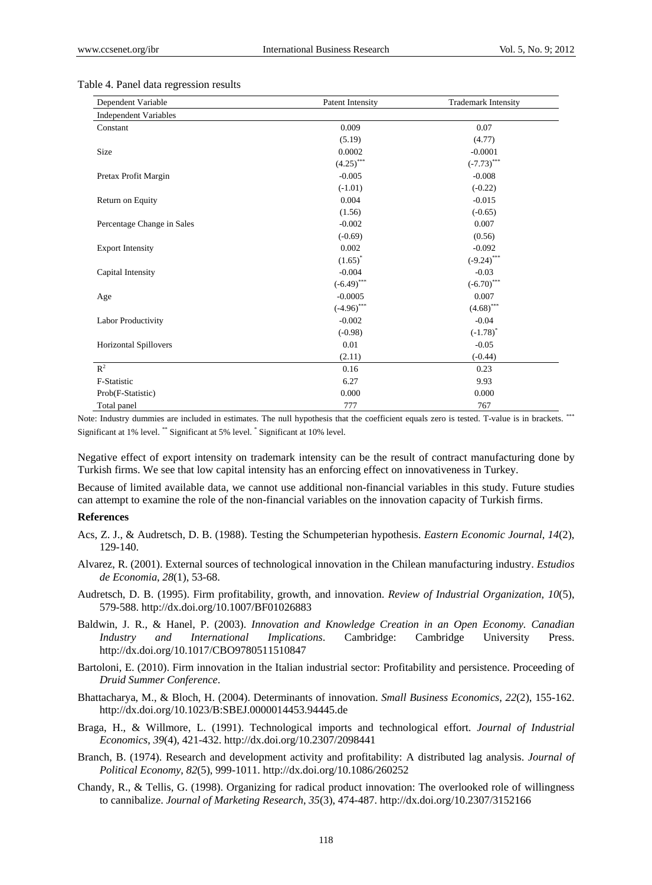| Dependent Variable           | Patent Intensity | <b>Trademark Intensity</b> |
|------------------------------|------------------|----------------------------|
| <b>Independent Variables</b> |                  |                            |
| Constant                     | 0.009            | 0.07                       |
|                              | (5.19)           | (4.77)                     |
| Size                         | 0.0002           | $-0.0001$                  |
|                              | $(4.25)$ ***     | $(-7.73)$ ***              |
| Pretax Profit Margin         | $-0.005$         | $-0.008$                   |
|                              | $(-1.01)$        | $(-0.22)$                  |
| Return on Equity             | 0.004            | $-0.015$                   |
|                              | (1.56)           | $(-0.65)$                  |
| Percentage Change in Sales   | $-0.002$         | 0.007                      |
|                              | $(-0.69)$        | (0.56)                     |
| <b>Export Intensity</b>      | 0.002            | $-0.092$                   |
|                              | $(1.65)^*$       | $(-9.24)$ ***              |
| Capital Intensity            | $-0.004$         | $-0.03$                    |
|                              | $(-6.49)$ ***    | $(-6.70)$ ***              |
| Age                          | $-0.0005$        | 0.007                      |
|                              | $(-4.96)$ ***    | $(4.68)$ ***               |
| Labor Productivity           | $-0.002$         | $-0.04$                    |
|                              | $(-0.98)$        | $(-1.78)^*$                |
| <b>Horizontal Spillovers</b> | 0.01             | $-0.05$                    |
|                              | (2.11)           | $(-0.44)$                  |
| $R^2$                        | 0.16             | 0.23                       |
| F-Statistic                  | 6.27             | 9.93                       |
| Prob(F-Statistic)            | 0.000            | 0.000                      |
| Total panel                  | 777              | 767                        |

Note: Industry dummies are included in estimates. The null hypothesis that the coefficient equals zero is tested. T-value is in brackets. \*\*\* Significant at 1% level. \*\* Significant at 5% level. \* Significant at 10% level.

Negative effect of export intensity on trademark intensity can be the result of contract manufacturing done by Turkish firms. We see that low capital intensity has an enforcing effect on innovativeness in Turkey.

Because of limited available data, we cannot use additional non-financial variables in this study. Future studies can attempt to examine the role of the non-financial variables on the innovation capacity of Turkish firms.

#### **References**

- Acs, Z. J., & Audretsch, D. B. (1988). Testing the Schumpeterian hypothesis. *Eastern Economic Journal*, *14*(2), 129-140.
- Alvarez, R. (2001). External sources of technological innovation in the Chilean manufacturing industry. *Estudios de Economia*, *28*(1), 53-68.
- Audretsch, D. B. (1995). Firm profitability, growth, and innovation. *Review of Industrial Organization*, *10*(5), 579-588. http://dx.doi.org/10.1007/BF01026883
- Baldwin, J. R., & Hanel, P. (2003). *Innovation and Knowledge Creation in an Open Economy. Canadian Industry and International Implications*. Cambridge: Cambridge University Press. http://dx.doi.org/10.1017/CBO9780511510847
- Bartoloni, E. (2010). Firm innovation in the Italian industrial sector: Profitability and persistence. Proceeding of *Druid Summer Conference*.
- Bhattacharya, M., & Bloch, H. (2004). Determinants of innovation. *Small Business Economics*, *22*(2), 155-162. http://dx.doi.org/10.1023/B:SBEJ.0000014453.94445.de
- Braga, H., & Willmore, L. (1991). Technological imports and technological effort. *Journal of Industrial Economics*, *39*(4), 421-432. http://dx.doi.org/10.2307/2098441
- Branch, B. (1974). Research and development activity and profitability: A distributed lag analysis. *Journal of Political Economy*, *82*(5), 999-1011. http://dx.doi.org/10.1086/260252
- Chandy, R., & Tellis, G. (1998). Organizing for radical product innovation: The overlooked role of willingness to cannibalize. *Journal of Marketing Research*, *35*(3), 474-487. http://dx.doi.org/10.2307/3152166